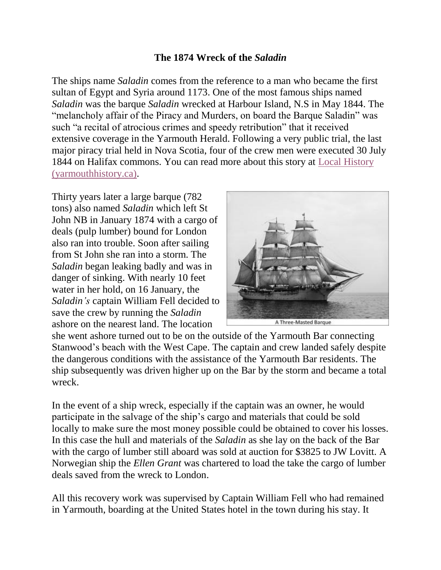## **The 1874 Wreck of the** *Saladin*

The ships name *Saladin* comes from the reference to a man who became the first sultan of Egypt and Syria around 1173. One of the most famous ships named *Saladin* was the barque *Saladin* wrecked at Harbour Island, N.S in May 1844. The "melancholy affair of the Piracy and Murders, on board the Barque Saladin" was such "a recital of atrocious crimes and speedy retribution" that it received extensive coverage in the Yarmouth Herald. Following a very public trial, the last major piracy trial held in Nova Scotia, four of the crew men were executed 30 July 1844 on Halifax commons. You can read more about this story at [Local History](http://yarmouthhistory.ca/yarmouthhistory/LocalHistory/Entries/2014/10/1_Piracy_and_Murders_on_the_Barque_Saladin.html)  [\(yarmouthhistory.ca\).](http://yarmouthhistory.ca/yarmouthhistory/LocalHistory/Entries/2014/10/1_Piracy_and_Murders_on_the_Barque_Saladin.html)

Thirty years later a large barque (782 tons) also named *Saladin* which left St John NB in January 1874 with a cargo of deals (pulp lumber) bound for London also ran into trouble. Soon after sailing from St John she ran into a storm. The *Saladin* began leaking badly and was in danger of sinking. With nearly 10 feet water in her hold, on 16 January, the *Saladin's* captain William Fell decided to save the crew by running the *Saladin* ashore on the nearest land. The location



A Three-Masted Barque

she went ashore turned out to be on the outside of the Yarmouth Bar connecting Stanwood's beach with the West Cape. The captain and crew landed safely despite the dangerous conditions with the assistance of the Yarmouth Bar residents. The ship subsequently was driven higher up on the Bar by the storm and became a total wreck.

In the event of a ship wreck, especially if the captain was an owner, he would participate in the salvage of the ship's cargo and materials that could be sold locally to make sure the most money possible could be obtained to cover his losses. In this case the hull and materials of the *Saladin* as she lay on the back of the Bar with the cargo of lumber still aboard was sold at auction for \$3825 to JW Lovitt. A Norwegian ship the *Ellen Grant* was chartered to load the take the cargo of lumber deals saved from the wreck to London.

All this recovery work was supervised by Captain William Fell who had remained in Yarmouth, boarding at the United States hotel in the town during his stay. It